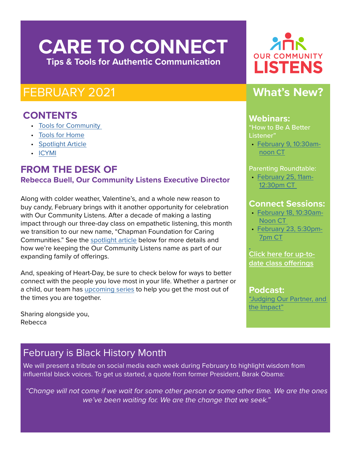# **CARE TO CONNECT Tips & Tools for Authentic Communication**

# FEBRUARY 2021

### **CONTENTS**

- [Tools for Community](#page-1-0)
- Tools for Home
- [Spotlight Article](#page-2-0)
- [ICYMI](#page-1-0)

### **FROM THE DESK OF Rebecca Buell, Our Community Listens Executive Director**

Along with colder weather, Valentine's, and a whole new reason to buy candy, February brings with it another opportunity for celebration with Our Community Listens. After a decade of making a lasting impact through our three-day class on empathetic listening, this month we transition to our new name, "Chapman Foundation for Caring Communities." See the [spotlight article](#page-2-0) below for more details and how we're keeping the Our Community Listens name as part of our expanding family of offerings.

And, speaking of Heart-Day, be sure to check below for ways to better connect with the people you love most in your life. Whether a partner or a child, our team has [upcoming series](#page-1-0) to help you get the most out of the times you are together.

Sharing alongside you, Rebecca

# **OUR COMMUNITY LISTENS**

# **What's New?**

#### **Webinars:**

"How to Be A Better Listener"

• **February 9, 10:30am**[noon CT](https://ourcommunitylistens.secure.nonprofitsoapbox.com/skills-education/event/44)

#### Parenting Roundtable:

• [February 25, 11am-](https://ourcommunitylistens.secure.nonprofitsoapbox.com/component/events/event/48)[12:30pm CT](https://ourcommunitylistens.secure.nonprofitsoapbox.com/component/events/event/48) 

### **Connect Sessions:**

- • [February 18, 10:30am-](https://ourcommunitylistens.secure.nonprofitsoapbox.com/skills-education/event/23)[Noon CT](https://ourcommunitylistens.secure.nonprofitsoapbox.com/skills-education/event/23)
- • [February 23, 5:30pm-](https://ourcommunitylistens.secure.nonprofitsoapbox.com/skills-education/event/18)[7pm CT](https://ourcommunitylistens.secure.nonprofitsoapbox.com/skills-education/event/18)

**[Click here for up-to](https://ourcommunitylistens.secure.nonprofitsoapbox.com/skills-education)[date class offerings](https://ourcommunitylistens.secure.nonprofitsoapbox.com/skills-education)**

**Podcast:** ["Judging Our Partner, and](https://soundcloud.com/ourcommunitylistens/ss-judging-our-partner-and-the-impact)  [the Impact"](https://soundcloud.com/ourcommunitylistens/ss-judging-our-partner-and-the-impact)

# February is Black History Month

We will present a tribute on social media each week during February to highlight wisdom from influential black voices. To get us started, a quote from former President, Barak Obama:

*"Change will not come if we wait for some other person or some other time. We are the ones we've been waiting for. We are the change that we seek."*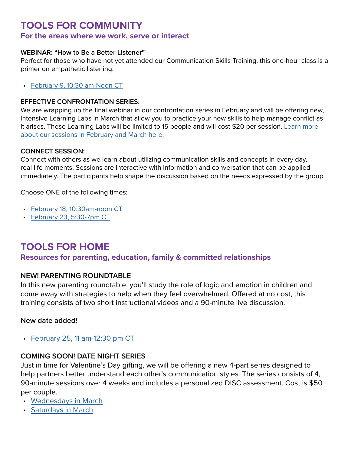### <span id="page-1-0"></span>**TOOLS FOR COMMUNITY**

#### **For the areas where we work, serve or interact**

#### **WEBINAR: "How to Be a Better Listener"**

Perfect for those who have not yet attended our Communication Skills Training, this one-hour class is a primer on empathetic listening.

• [February 9, 10:30 am-Noon CT](https://ourcommunitylistens.secure.nonprofitsoapbox.com/skills-education/event/44)

#### **EFFECTIVE CONFRONTATION SERIES:**

We are wrapping up the final webinar in our confrontation series in February and will be offering new, intensive Learning Labs in March that allow you to practice your new skills to help manage conflict as it arises. These Learning Labs will be limited to 15 people and will cost \$20 per session. [Learn more](https://www.ourcommunitylistens.org/events/web-series)  [about our sessions in February and March here.](https://www.ourcommunitylistens.org/events/web-series)

#### **CONNECT SESSION:**

Connect with others as we learn about utilizing communication skills and concepts in every day, real life moments. Sessions are interactive with information and conversation that can be applied immediately. The participants help shape the discussion based on the needs expressed by the group.

Choose ONE of the following times:

- [February 18, 10:30am-noon CT](https://ourcommunitylistens.secure.nonprofitsoapbox.com/skills-education/event/23)
- [February 23, 5:30-7pm CT](https://ourcommunitylistens.secure.nonprofitsoapbox.com/skills-education/event/18)

### **TOOLS FOR HOME**

**Resources for parenting, education, family & committed relationships**

#### **NEW! PARENTING ROUNDTABLE**

In this new parenting roundtable, you'll study the role of logic and emotion in children and come away with strategies to help when they feel overwhelmed. Offered at no cost, this training consists of two short instructional videos and a 90-minute live discussion.

#### **New date added!**

• [February 25, 11 am-12:30 pm CT](https://ourcommunitylistens.secure.nonprofitsoapbox.com/component/events/event/48)

#### **COMING SOON! DATE NIGHT SERIES**

Just in time for Valentine's Day gifting, we will be offering a new 4-part series designed to help partners better understand each other's communication styles. The series consists of 4, 90-minute sessions over 4 weeks and includes a personalized DISC assessment. Cost is \$50 per couple.

- [Wednesdays in March](https://ourcommunitylistens.secure.nonprofitsoapbox.com/skills-education/event/57)
- [Saturdays in March](https://ourcommunitylistens.secure.nonprofitsoapbox.com/skills-education/event/58)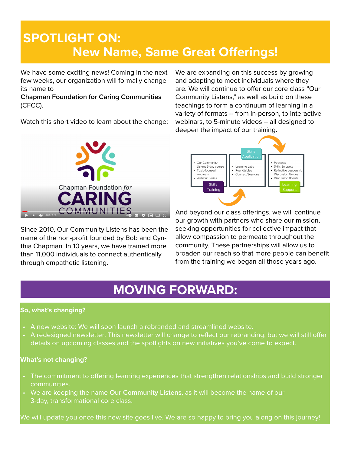# <span id="page-2-0"></span>**SPOTLIGHT ON: New Name, Same Great Offerings!**

We have some exciting news! Coming in the next few weeks, our organization will formally change its name to

**Chapman Foundation for Caring Communities** (CFCC).

Watch this short video to learn about the change:



Since 2010, Our Community Listens has been the name of the non-profit founded by Bob and Cynthia Chapman. In 10 years, we have trained more than 11,000 individuals to connect authentically through empathetic listening.

We are expanding on this success by growing and adapting to meet individuals where they are. We will continue to offer our core class "Our Community Listens," as well as build on these teachings to form a continuum of learning in a variety of formats -- from in-person, to interactive webinars, to 5-minute videos – all designed to deepen the impact of our training.



And beyond our class offerings, we will continue our growth with partners who share our mission, seeking opportunities for collective impact that allow compassion to permeate throughout the community. These partnerships will allow us to broaden our reach so that more people can benefit from the training we began all those years ago.

# **MOVING FORWARD:**

#### **So, what's changing?**

- A new website: We will soon launch a rebranded and streamlined website.
- A redesigned newsletter: This newsletter will change to reflect our rebranding, but we will still offer details on upcoming classes and the spotlights on new initiatives you've come to expect.

#### **What's not changing?**

- The commitment to offering learning experiences that strengthen relationships and build stronger communities.
- We are keeping the name **Our Community Listens**, as it will become the name of our 3-day, transformational core class.

We will update you once this new site goes live. We are so happy to bring you along on this journey!